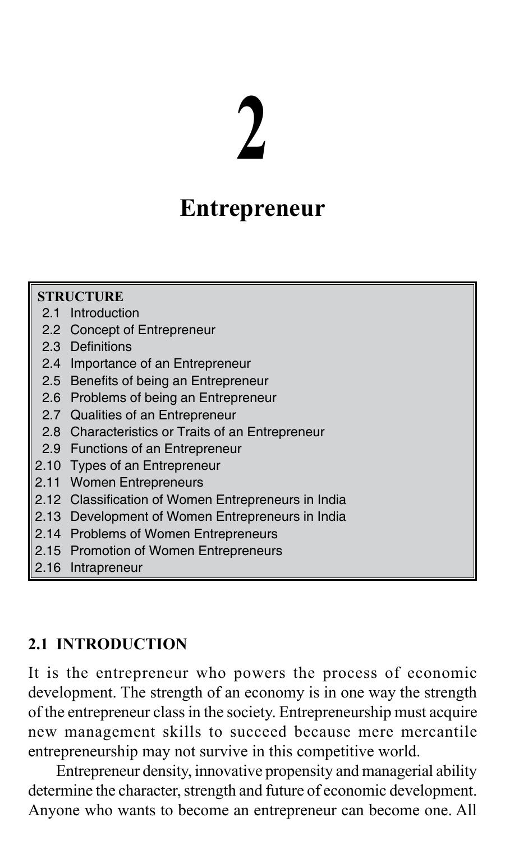# **2**

## **Entrepreneur**

| <b>STRUCTURE</b> |                                                     |  |  |
|------------------|-----------------------------------------------------|--|--|
|                  | 2.1 Introduction                                    |  |  |
|                  | 2.2 Concept of Entrepreneur                         |  |  |
|                  | 2.3 Definitions                                     |  |  |
|                  | 2.4 Importance of an Entrepreneur                   |  |  |
|                  | 2.5 Benefits of being an Entrepreneur               |  |  |
|                  | 2.6 Problems of being an Entrepreneur               |  |  |
|                  | 2.7 Qualities of an Entrepreneur                    |  |  |
|                  | 2.8 Characteristics or Traits of an Entrepreneur    |  |  |
|                  | 2.9 Functions of an Entrepreneur                    |  |  |
|                  | 2.10 Types of an Entrepreneur                       |  |  |
| 2.11             | <b>Women Entrepreneurs</b>                          |  |  |
|                  | 2.12 Classification of Women Entrepreneurs in India |  |  |
|                  | 2.13 Development of Women Entrepreneurs in India    |  |  |
|                  | 2.14 Problems of Women Entrepreneurs                |  |  |
|                  | 2.15 Promotion of Women Entrepreneurs               |  |  |
| 2.16             | Intrapreneur                                        |  |  |

#### **2.1 INTRODUCTION**

It is the entrepreneur who powers the process of economic development. The strength of an economy is in one way the strength of the entrepreneur class in the society. Entrepreneurship must acquire new management skills to succeed because mere mercantile entrepreneurship may not survive in this competitive world.

Entrepreneur density, innovative propensity and managerial ability determine the character, strength and future of economic development. Anyone who wants to become an entrepreneur can become one. All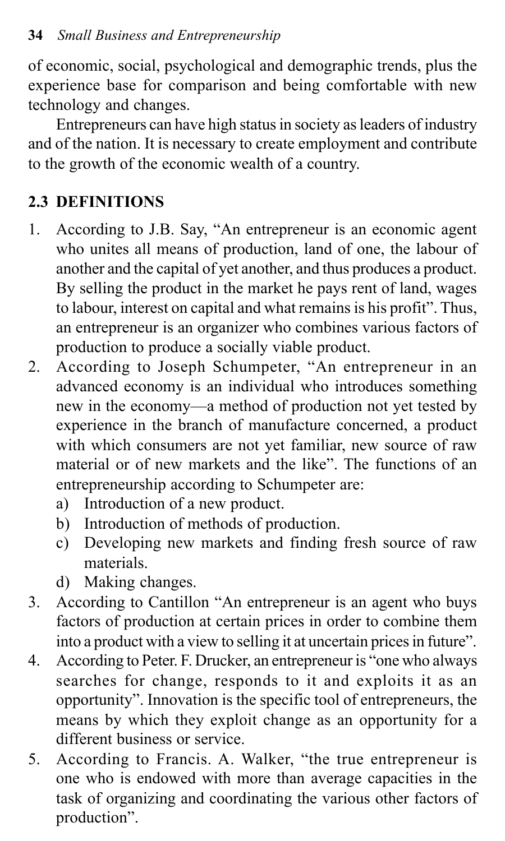of economic, social, psychological and demographic trends, plus the experience base for comparison and being comfortable with new technology and changes.

Entrepreneurs can have high status in society as leaders of industry and of the nation. It is necessary to create employment and contribute to the growth of the economic wealth of a country.

## **2.3 DEFINITIONS**

- 1. According to J.B. Say, "An entrepreneur is an economic agent who unites all means of production, land of one, the labour of another and the capital of yet another, and thus produces a product. By selling the product in the market he pays rent of land, wages to labour, interest on capital and what remains is his profit". Thus, an entrepreneur is an organizer who combines various factors of production to produce a socially viable product.
- 2. According to Joseph Schumpeter, "An entrepreneur in an advanced economy is an individual who introduces something new in the economy—a method of production not yet tested by experience in the branch of manufacture concerned, a product with which consumers are not yet familiar, new source of raw material or of new markets and the like". The functions of an entrepreneurship according to Schumpeter are:
	- a) Introduction of a new product.
	- b) Introduction of methods of production.
	- c) Developing new markets and finding fresh source of raw materials.
	- d) Making changes.
- 3. According to Cantillon "An entrepreneur is an agent who buys factors of production at certain prices in order to combine them into a product with a view to selling it at uncertain prices in future".
- 4. According to Peter. F. Drucker, an entrepreneur is "one who always searches for change, responds to it and exploits it as an opportunity". Innovation is the specific tool of entrepreneurs, the means by which they exploit change as an opportunity for a different business or service.
- 5. According to Francis. A. Walker, "the true entrepreneur is one who is endowed with more than average capacities in the task of organizing and coordinating the various other factors of production".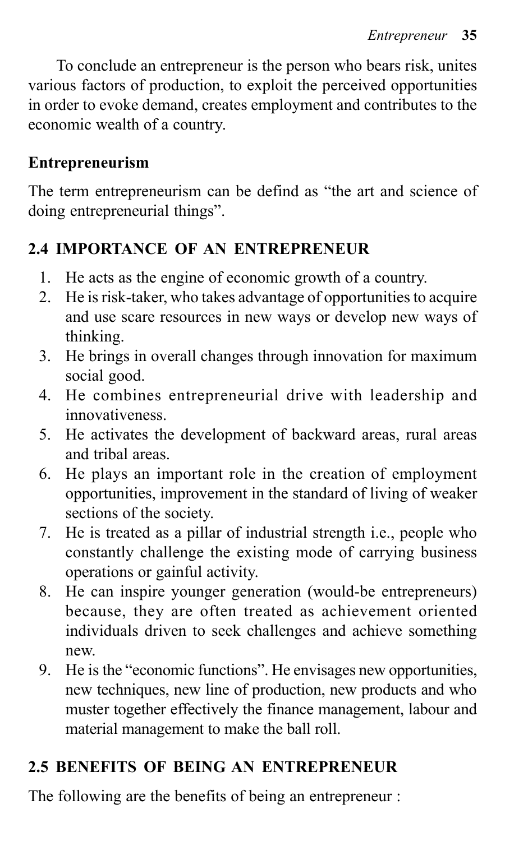To conclude an entrepreneur is the person who bears risk, unites various factors of production, to exploit the perceived opportunities in order to evoke demand, creates employment and contributes to the economic wealth of a country.

#### **Entrepreneurism**

The term entrepreneurism can be defind as "the art and science of doing entrepreneurial things".

#### **2.4 IMPORTANCE OF AN ENTREPRENEUR**

- 1. He acts as the engine of economic growth of a country.
- 2. He is risk-taker, who takes advantage of opportunities to acquire and use scare resources in new ways or develop new ways of thinking.
- 3. He brings in overall changes through innovation for maximum social good.
- 4. He combines entrepreneurial drive with leadership and innovativeness.
- 5. He activates the development of backward areas, rural areas and tribal areas.
- 6. He plays an important role in the creation of employment opportunities, improvement in the standard of living of weaker sections of the society.
- 7. He is treated as a pillar of industrial strength i.e., people who constantly challenge the existing mode of carrying business operations or gainful activity.
- 8. He can inspire younger generation (would-be entrepreneurs) because, they are often treated as achievement oriented individuals driven to seek challenges and achieve something new.
- 9. He is the "economic functions". He envisages new opportunities, new techniques, new line of production, new products and who muster together effectively the finance management, labour and material management to make the ball roll.

## **2.5 BENEFITS OF BEING AN ENTREPRENEUR**

The following are the benefits of being an entrepreneur :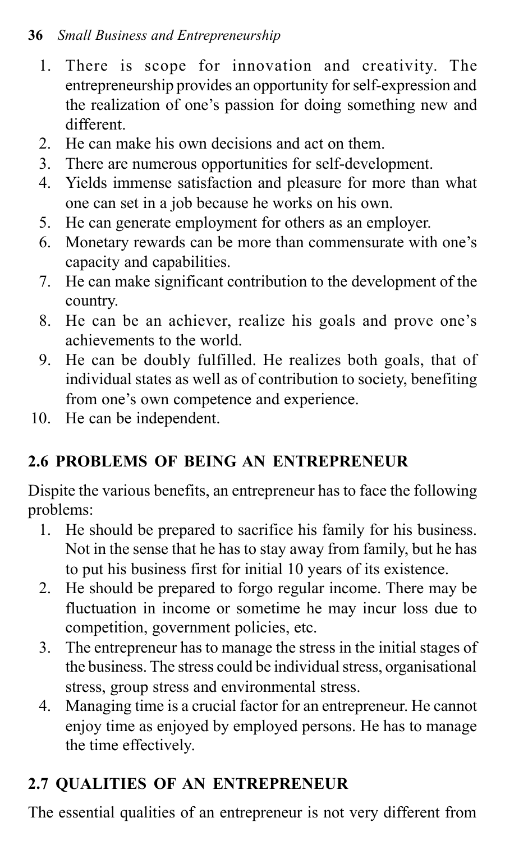#### **36** *Small Business and Entrepreneurship*

- 1. There is scope for innovation and creativity. The entrepreneurship provides an opportunity for self-expression and the realization of one's passion for doing something new and different.
- 2. He can make his own decisions and act on them.
- 3. There are numerous opportunities for self-development.
- 4. Yields immense satisfaction and pleasure for more than what one can set in a job because he works on his own.
- 5. He can generate employment for others as an employer.
- 6. Monetary rewards can be more than commensurate with one's capacity and capabilities.
- 7. He can make significant contribution to the development of the country.
- 8. He can be an achiever, realize his goals and prove one's achievements to the world.
- 9. He can be doubly fulfilled. He realizes both goals, that of individual states as well as of contribution to society, benefiting from one's own competence and experience.
- 10. He can be independent.

## **2.6 PROBLEMS OF BEING AN ENTREPRENEUR**

Dispite the various benefits, an entrepreneur has to face the following problems:

- 1. He should be prepared to sacrifice his family for his business. Not in the sense that he has to stay away from family, but he has to put his business first for initial 10 years of its existence.
- 2. He should be prepared to forgo regular income. There may be fluctuation in income or sometime he may incur loss due to competition, government policies, etc.
- 3. The entrepreneur has to manage the stress in the initial stages of the business. The stress could be individual stress, organisational stress, group stress and environmental stress.
- 4. Managing time is a crucial factor for an entrepreneur. He cannot enjoy time as enjoyed by employed persons. He has to manage the time effectively.

## **2.7 QUALITIES OF AN ENTREPRENEUR**

The essential qualities of an entrepreneur is not very different from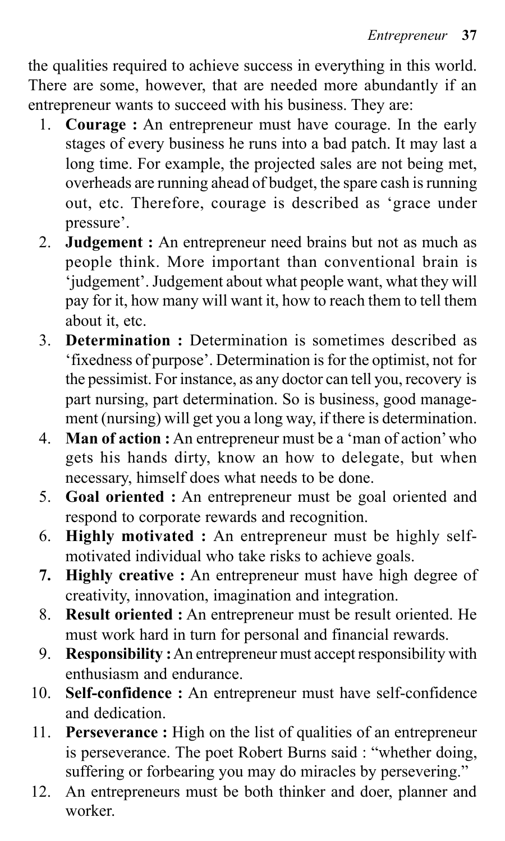the qualities required to achieve success in everything in this world. There are some, however, that are needed more abundantly if an entrepreneur wants to succeed with his business. They are:

- 1. **Courage :** An entrepreneur must have courage. In the early stages of every business he runs into a bad patch. It may last a long time. For example, the projected sales are not being met, overheads are running ahead of budget, the spare cash is running out, etc. Therefore, courage is described as 'grace under pressure'.
- 2. **Judgement :** An entrepreneur need brains but not as much as people think. More important than conventional brain is 'judgement'. Judgement about what people want, what they will pay for it, how many will want it, how to reach them to tell them about it, etc.
- 3. **Determination :** Determination is sometimes described as 'fixedness of purpose'. Determination is for the optimist, not for the pessimist. For instance, as any doctor can tell you, recovery is part nursing, part determination. So is business, good management (nursing) will get you a long way, if there is determination.
- 4. **Man of action :** An entrepreneur must be a 'man of action' who gets his hands dirty, know an how to delegate, but when necessary, himself does what needs to be done.
- 5. **Goal oriented :** An entrepreneur must be goal oriented and respond to corporate rewards and recognition.
- 6. **Highly motivated :** An entrepreneur must be highly selfmotivated individual who take risks to achieve goals.
- **7. Highly creative :** An entrepreneur must have high degree of creativity, innovation, imagination and integration.
- 8. **Result oriented :** An entrepreneur must be result oriented. He must work hard in turn for personal and financial rewards.
- 9. **Responsibility :** An entrepreneur must accept responsibility with enthusiasm and endurance.
- 10. **Self-confidence :** An entrepreneur must have self-confidence and dedication.
- 11. **Perseverance :** High on the list of qualities of an entrepreneur is perseverance. The poet Robert Burns said : "whether doing, suffering or forbearing you may do miracles by persevering."
- 12. An entrepreneurs must be both thinker and doer, planner and worker.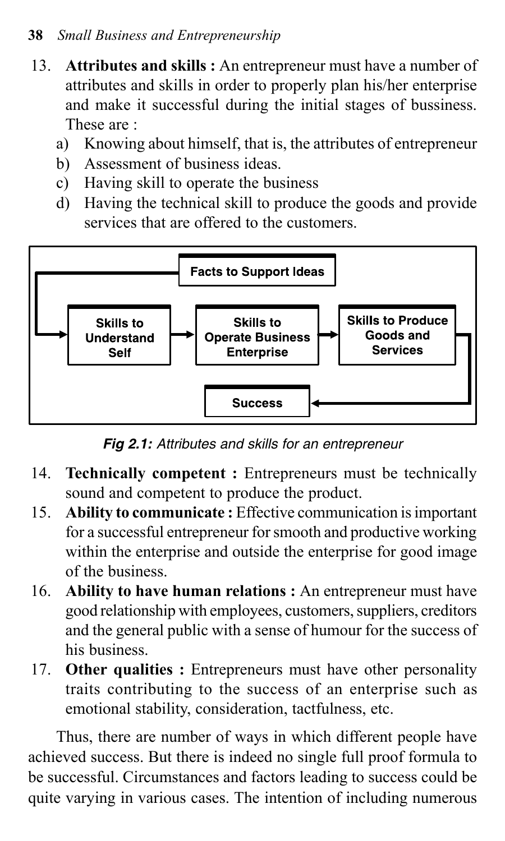#### **38** *Small Business and Entrepreneurship*

- 13. **Attributes and skills :** An entrepreneur must have a number of attributes and skills in order to properly plan his/her enterprise and make it successful during the initial stages of bussiness. These are :
	- a) Knowing about himself, that is, the attributes of entrepreneur
	- b) Assessment of business ideas.
	- c) Having skill to operate the business
	- d) Having the technical skill to produce the goods and provide services that are offered to the customers.



*Fig 2.1: Attributes and skills for an entrepreneur*

- 14. **Technically competent :** Entrepreneurs must be technically sound and competent to produce the product.
- 15. **Ability to communicate :** Effective communication is important for a successful entrepreneur for smooth and productive working within the enterprise and outside the enterprise for good image of the business.
- 16. **Ability to have human relations :** An entrepreneur must have good relationship with employees, customers, suppliers, creditors and the general public with a sense of humour for the success of his business.
- 17. **Other qualities :** Entrepreneurs must have other personality traits contributing to the success of an enterprise such as emotional stability, consideration, tactfulness, etc.

Thus, there are number of ways in which different people have achieved success. But there is indeed no single full proof formula to be successful. Circumstances and factors leading to success could be quite varying in various cases. The intention of including numerous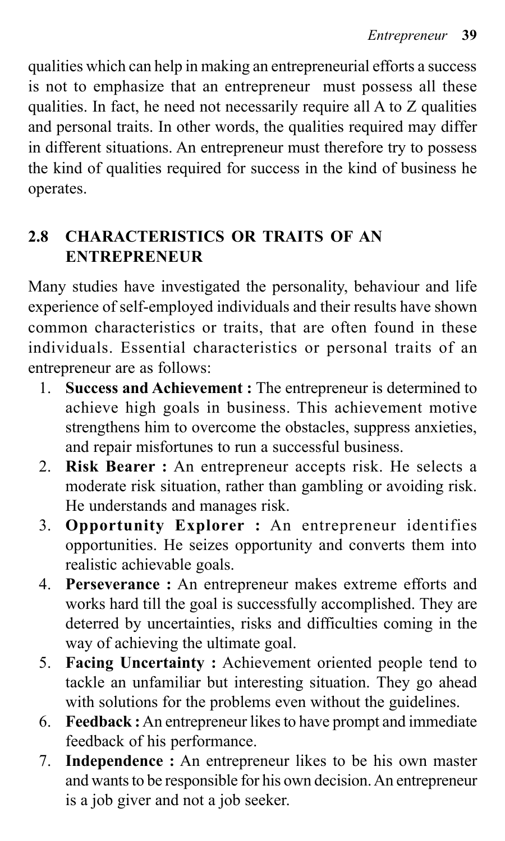qualities which can help in making an entrepreneurial efforts a success is not to emphasize that an entrepreneur must possess all these qualities. In fact, he need not necessarily require all A to Z qualities and personal traits. In other words, the qualities required may differ in different situations. An entrepreneur must therefore try to possess the kind of qualities required for success in the kind of business he operates.

## **2.8 CHARACTERISTICS OR TRAITS OF AN ENTREPRENEUR**

Many studies have investigated the personality, behaviour and life experience of self-employed individuals and their results have shown common characteristics or traits, that are often found in these individuals. Essential characteristics or personal traits of an entrepreneur are as follows:

- 1. **Success and Achievement :** The entrepreneur is determined to achieve high goals in business. This achievement motive strengthens him to overcome the obstacles, suppress anxieties, and repair misfortunes to run a successful business.
- 2. **Risk Bearer :** An entrepreneur accepts risk. He selects a moderate risk situation, rather than gambling or avoiding risk. He understands and manages risk.
- 3. **Opportunity Explorer :** An entrepreneur identifies opportunities. He seizes opportunity and converts them into realistic achievable goals.
- 4. **Perseverance :** An entrepreneur makes extreme efforts and works hard till the goal is successfully accomplished. They are deterred by uncertainties, risks and difficulties coming in the way of achieving the ultimate goal.
- 5. **Facing Uncertainty :** Achievement oriented people tend to tackle an unfamiliar but interesting situation. They go ahead with solutions for the problems even without the guidelines.
- 6. **Feedback :** An entrepreneur likes to have prompt and immediate feedback of his performance.
- 7. **Independence :** An entrepreneur likes to be his own master and wants to be responsible for his own decision. An entrepreneur is a job giver and not a job seeker.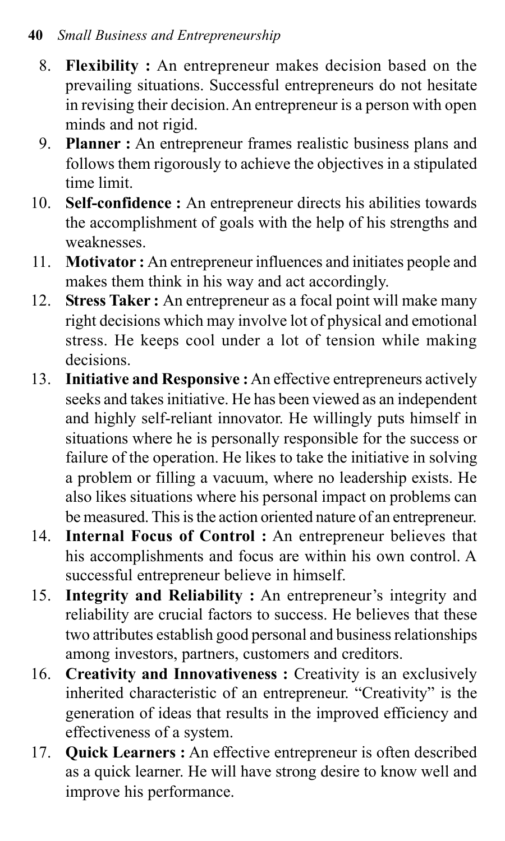- 8. **Flexibility :** An entrepreneur makes decision based on the prevailing situations. Successful entrepreneurs do not hesitate in revising their decision. An entrepreneur is a person with open minds and not rigid.
- 9. **Planner :** An entrepreneur frames realistic business plans and follows them rigorously to achieve the objectives in a stipulated time limit.
- 10. **Self-confidence :** An entrepreneur directs his abilities towards the accomplishment of goals with the help of his strengths and weaknesses.
- 11. **Motivator :** An entrepreneur influences and initiates people and makes them think in his way and act accordingly.
- 12. **Stress Taker :** An entrepreneur as a focal point will make many right decisions which may involve lot of physical and emotional stress. He keeps cool under a lot of tension while making decisions.
- 13. **Initiative and Responsive :** An effective entrepreneurs actively seeks and takes initiative. He has been viewed as an independent and highly self-reliant innovator. He willingly puts himself in situations where he is personally responsible for the success or failure of the operation. He likes to take the initiative in solving a problem or filling a vacuum, where no leadership exists. He also likes situations where his personal impact on problems can be measured. This is the action oriented nature of an entrepreneur.
- 14. **Internal Focus of Control :** An entrepreneur believes that his accomplishments and focus are within his own control. A successful entrepreneur believe in himself.
- 15. **Integrity and Reliability :** An entrepreneur's integrity and reliability are crucial factors to success. He believes that these two attributes establish good personal and business relationships among investors, partners, customers and creditors.
- 16. **Creativity and Innovativeness :** Creativity is an exclusively inherited characteristic of an entrepreneur. "Creativity" is the generation of ideas that results in the improved efficiency and effectiveness of a system.
- 17. **Quick Learners :** An effective entrepreneur is often described as a quick learner. He will have strong desire to know well and improve his performance.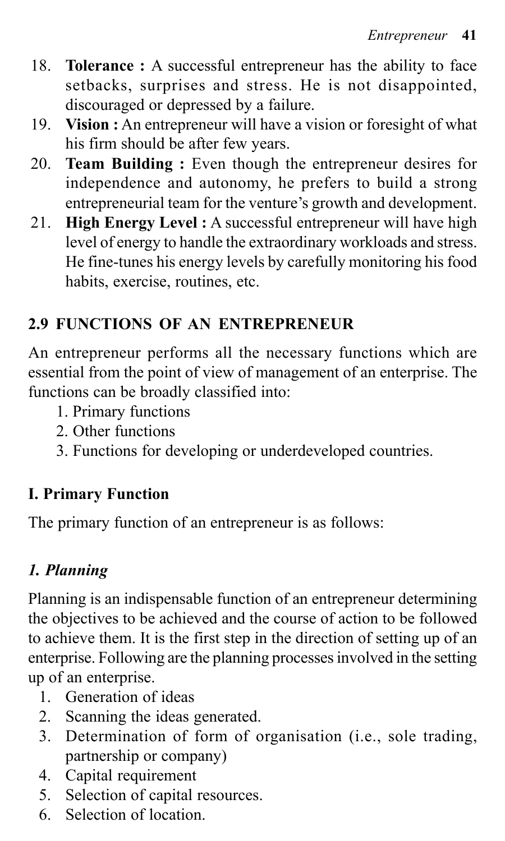- 18. **Tolerance :** A successful entrepreneur has the ability to face setbacks, surprises and stress. He is not disappointed, discouraged or depressed by a failure.
- 19. **Vision :** An entrepreneur will have a vision or foresight of what his firm should be after few years.
- 20. **Team Building :** Even though the entrepreneur desires for independence and autonomy, he prefers to build a strong entrepreneurial team for the venture's growth and development.
- 21. **High Energy Level :** A successful entrepreneur will have high level of energy to handle the extraordinary workloads and stress. He fine-tunes his energy levels by carefully monitoring his food habits, exercise, routines, etc.

## **2.9 FUNCTIONS OF AN ENTREPRENEUR**

An entrepreneur performs all the necessary functions which are essential from the point of view of management of an enterprise. The functions can be broadly classified into:

- 1. Primary functions
- 2. Other functions
- 3. Functions for developing or underdeveloped countries.

## **I. Primary Function**

The primary function of an entrepreneur is as follows:

## *1. Planning*

Planning is an indispensable function of an entrepreneur determining the objectives to be achieved and the course of action to be followed to achieve them. It is the first step in the direction of setting up of an enterprise. Following are the planning processes involved in the setting up of an enterprise.

- 1. Generation of ideas
- 2. Scanning the ideas generated.
- 3. Determination of form of organisation (i.e., sole trading, partnership or company)
- 4. Capital requirement
- 5. Selection of capital resources.
- 6. Selection of location.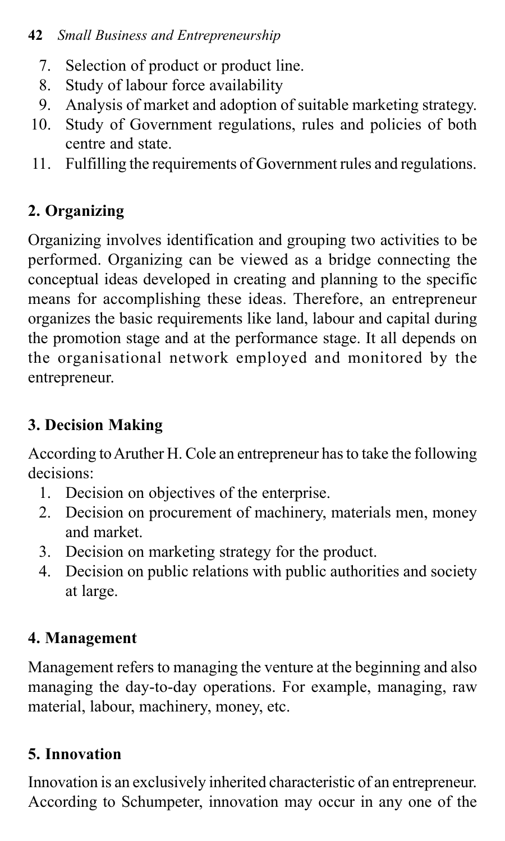#### **42** *Small Business and Entrepreneurship*

- 7. Selection of product or product line.
- 8. Study of labour force availability
- 9. Analysis of market and adoption of suitable marketing strategy.
- 10. Study of Government regulations, rules and policies of both centre and state.
- 11. Fulfilling the requirements of Government rules and regulations.

## **2. Organizing**

Organizing involves identification and grouping two activities to be performed. Organizing can be viewed as a bridge connecting the conceptual ideas developed in creating and planning to the specific means for accomplishing these ideas. Therefore, an entrepreneur organizes the basic requirements like land, labour and capital during the promotion stage and at the performance stage. It all depends on the organisational network employed and monitored by the entrepreneur.

## **3. Decision Making**

According to Aruther H. Cole an entrepreneur has to take the following decisions:

- 1. Decision on objectives of the enterprise.
- 2. Decision on procurement of machinery, materials men, money and market.
- 3. Decision on marketing strategy for the product.
- 4. Decision on public relations with public authorities and society at large.

## **4. Management**

Management refers to managing the venture at the beginning and also managing the day-to-day operations. For example, managing, raw material, labour, machinery, money, etc.

## **5. Innovation**

Innovation is an exclusively inherited characteristic of an entrepreneur. According to Schumpeter, innovation may occur in any one of the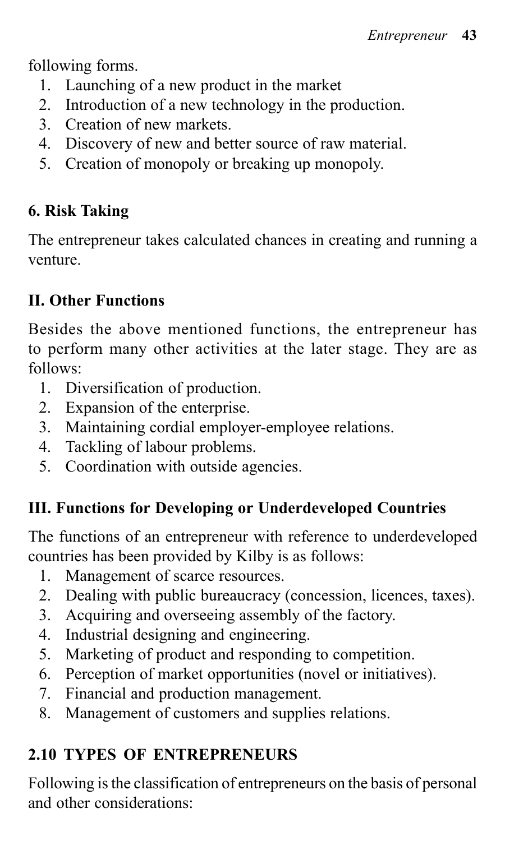following forms.

- 1. Launching of a new product in the market
- 2. Introduction of a new technology in the production.
- 3. Creation of new markets.
- 4. Discovery of new and better source of raw material.
- 5. Creation of monopoly or breaking up monopoly.

## **6. Risk Taking**

The entrepreneur takes calculated chances in creating and running a venture.

## **II. Other Functions**

Besides the above mentioned functions, the entrepreneur has to perform many other activities at the later stage. They are as follows:

- 1. Diversification of production.
- 2. Expansion of the enterprise.
- 3. Maintaining cordial employer-employee relations.
- 4. Tackling of labour problems.
- 5. Coordination with outside agencies.

## **III. Functions for Developing or Underdeveloped Countries**

The functions of an entrepreneur with reference to underdeveloped countries has been provided by Kilby is as follows:

- 1. Management of scarce resources.
- 2. Dealing with public bureaucracy (concession, licences, taxes).
- 3. Acquiring and overseeing assembly of the factory.
- 4. Industrial designing and engineering.
- 5. Marketing of product and responding to competition.
- 6. Perception of market opportunities (novel or initiatives).
- 7. Financial and production management.
- 8. Management of customers and supplies relations.

## **2.10 TYPES OF ENTREPRENEURS**

Following is the classification of entrepreneurs on the basis of personal and other considerations: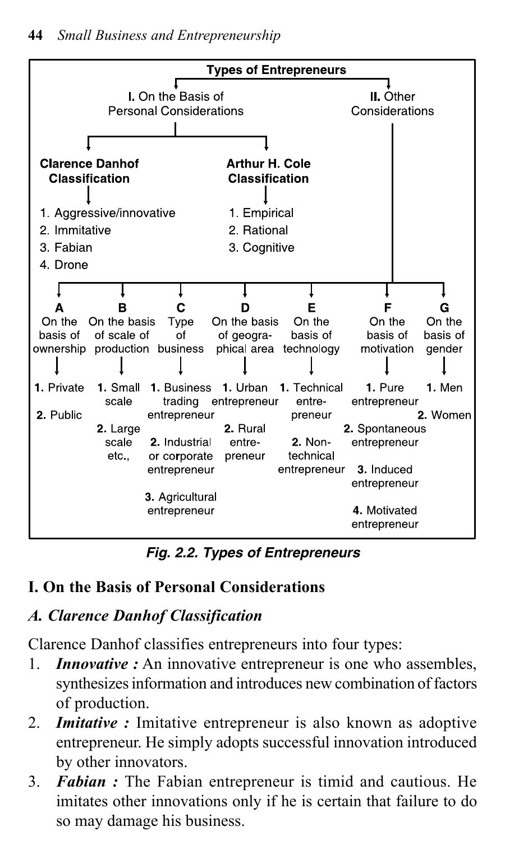

*Fig. 2.2. Types of Entrepreneurs*

#### **I. On the Basis of Personal Considerations**

#### *A. Clarence Danhof Classification*

Clarence Danhof classifies entrepreneurs into four types:

- 1. *Innovative :* An innovative entrepreneur is one who assembles, synthesizes information and introduces new combination of factors of production.
- 2. *Imitative :* Imitative entrepreneur is also known as adoptive entrepreneur. He simply adopts successful innovation introduced by other innovators.
- 3. *Fabian :* The Fabian entrepreneur is timid and cautious. He imitates other innovations only if he is certain that failure to do so may damage his business.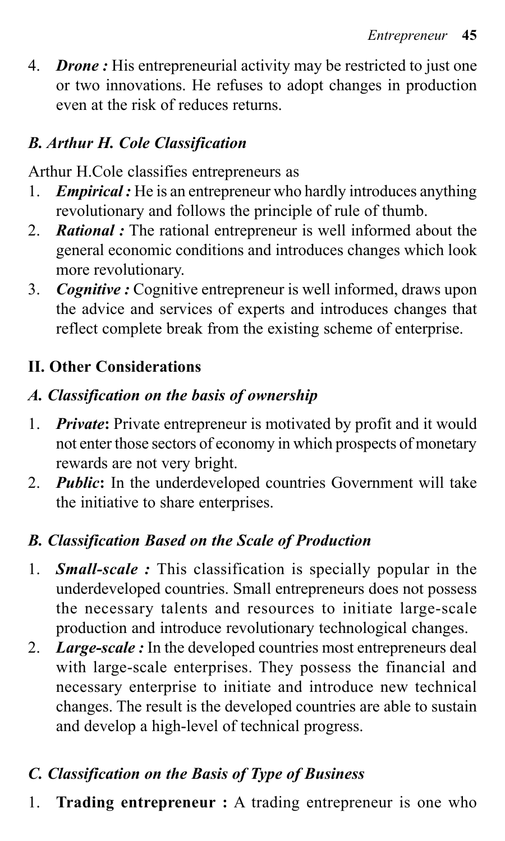4. *Drone :* His entrepreneurial activity may be restricted to just one or two innovations. He refuses to adopt changes in production even at the risk of reduces returns.

#### *B. Arthur H. Cole Classification*

Arthur H.Cole classifies entrepreneurs as

- 1. *Empirical :* He is an entrepreneur who hardly introduces anything revolutionary and follows the principle of rule of thumb.
- 2. *Rational :* The rational entrepreneur is well informed about the general economic conditions and introduces changes which look more revolutionary.
- 3. *Cognitive :* Cognitive entrepreneur is well informed, draws upon the advice and services of experts and introduces changes that reflect complete break from the existing scheme of enterprise.

#### **II. Other Considerations**

#### *A. Classification on the basis of ownership*

- 1. *Private***:** Private entrepreneur is motivated by profit and it would not enter those sectors of economy in which prospects of monetary rewards are not very bright.
- 2. *Public***:** In the underdeveloped countries Government will take the initiative to share enterprises.

#### *B. Classification Based on the Scale of Production*

- 1. *Small-scale :* This classification is specially popular in the underdeveloped countries. Small entrepreneurs does not possess the necessary talents and resources to initiate large-scale production and introduce revolutionary technological changes.
- 2. *Large-scale :* In the developed countries most entrepreneurs deal with large-scale enterprises. They possess the financial and necessary enterprise to initiate and introduce new technical changes. The result is the developed countries are able to sustain and develop a high-level of technical progress.

#### *C. Classification on the Basis of Type of Business*

1. **Trading entrepreneur :** A trading entrepreneur is one who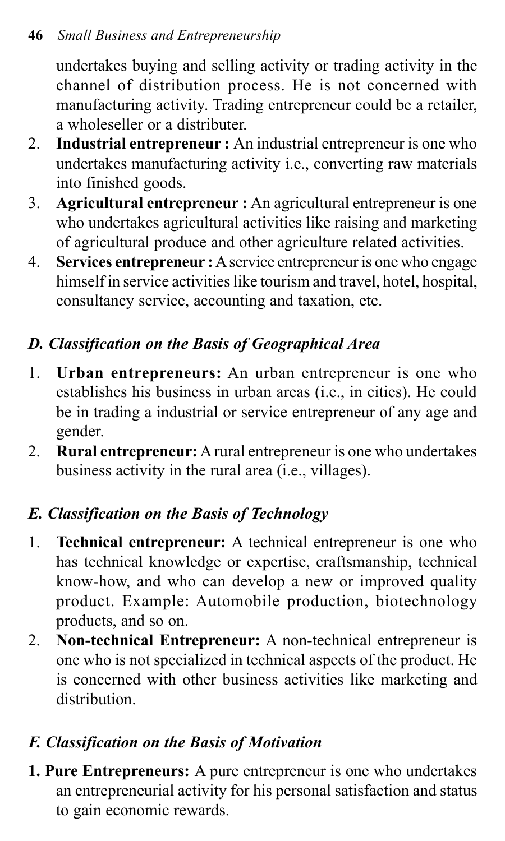undertakes buying and selling activity or trading activity in the channel of distribution process. He is not concerned with manufacturing activity. Trading entrepreneur could be a retailer, a wholeseller or a distributer.

- 2. **Industrial entrepreneur :** An industrial entrepreneur is one who undertakes manufacturing activity i.e., converting raw materials into finished goods.
- 3. **Agricultural entrepreneur :** An agricultural entrepreneur is one who undertakes agricultural activities like raising and marketing of agricultural produce and other agriculture related activities.
- 4. **Services entrepreneur :** A service entrepreneur is one who engage himself in service activities like tourism and travel, hotel, hospital, consultancy service, accounting and taxation, etc.

## *D. Classification on the Basis of Geographical Area*

- 1. **Urban entrepreneurs:** An urban entrepreneur is one who establishes his business in urban areas (i.e., in cities). He could be in trading a industrial or service entrepreneur of any age and gender.
- 2. **Rural entrepreneur:** A rural entrepreneur is one who undertakes business activity in the rural area (i.e., villages).

## *E. Classification on the Basis of Technology*

- 1. **Technical entrepreneur:** A technical entrepreneur is one who has technical knowledge or expertise, craftsmanship, technical know-how, and who can develop a new or improved quality product. Example: Automobile production, biotechnology products, and so on.
- 2. **Non-technical Entrepreneur:** A non-technical entrepreneur is one who is not specialized in technical aspects of the product. He is concerned with other business activities like marketing and distribution.

## *F. Classification on the Basis of Motivation*

**1. Pure Entrepreneurs:** A pure entrepreneur is one who undertakes an entrepreneurial activity for his personal satisfaction and status to gain economic rewards.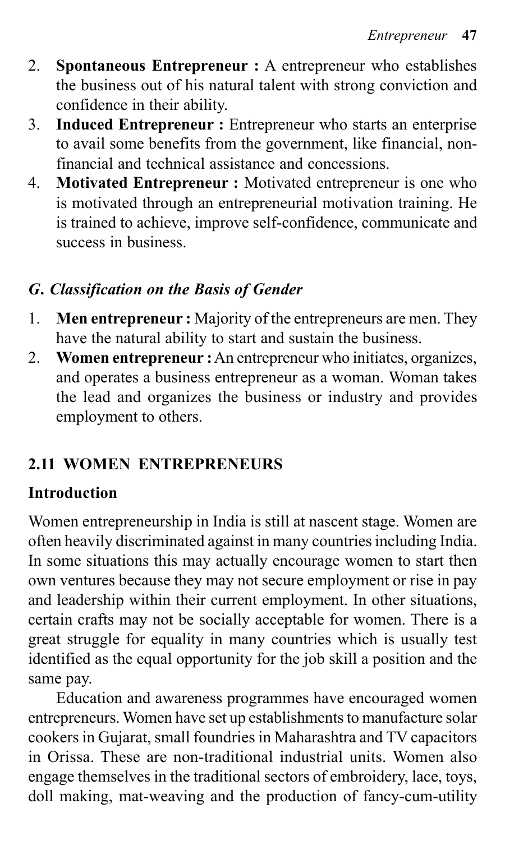- 2. **Spontaneous Entrepreneur :** A entrepreneur who establishes the business out of his natural talent with strong conviction and confidence in their ability.
- 3. **Induced Entrepreneur :** Entrepreneur who starts an enterprise to avail some benefits from the government, like financial, nonfinancial and technical assistance and concessions.
- 4. **Motivated Entrepreneur :** Motivated entrepreneur is one who is motivated through an entrepreneurial motivation training. He is trained to achieve, improve self-confidence, communicate and success in business.

#### *G. Classification on the Basis of Gender*

- 1. **Men entrepreneur :** Majority of the entrepreneurs are men. They have the natural ability to start and sustain the business.
- 2. **Women entrepreneur :** An entrepreneur who initiates, organizes, and operates a business entrepreneur as a woman. Woman takes the lead and organizes the business or industry and provides employment to others.

#### **2.11 WOMEN ENTREPRENEURS**

#### **Introduction**

Women entrepreneurship in India is still at nascent stage. Women are often heavily discriminated against in many countries including India. In some situations this may actually encourage women to start then own ventures because they may not secure employment or rise in pay and leadership within their current employment. In other situations, certain crafts may not be socially acceptable for women. There is a great struggle for equality in many countries which is usually test identified as the equal opportunity for the job skill a position and the same pay.

Education and awareness programmes have encouraged women entrepreneurs. Women have set up establishments to manufacture solar cookers in Gujarat, small foundries in Maharashtra and TV capacitors in Orissa. These are non-traditional industrial units. Women also engage themselves in the traditional sectors of embroidery, lace, toys, doll making, mat-weaving and the production of fancy-cum-utility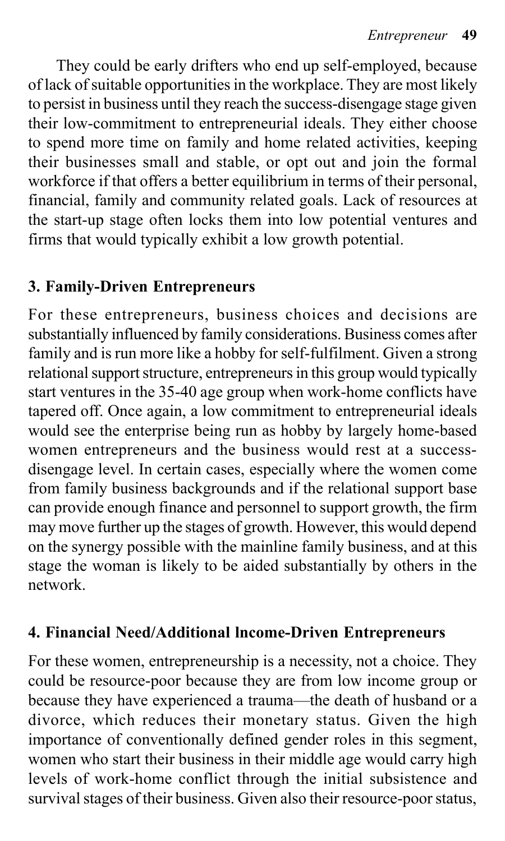They could be early drifters who end up self-employed, because of lack of suitable opportunities in the workplace. They are most likely to persist in business until they reach the success-disengage stage given their low-commitment to entrepreneurial ideals. They either choose to spend more time on family and home related activities, keeping their businesses small and stable, or opt out and join the formal workforce if that offers a better equilibrium in terms of their personal, financial, family and community related goals. Lack of resources at the start-up stage often locks them into low potential ventures and firms that would typically exhibit a low growth potential.

#### **3. Family-Driven Entrepreneurs**

For these entrepreneurs, business choices and decisions are substantially influenced by family considerations. Business comes after family and is run more like a hobby for self-fulfilment. Given a strong relational support structure, entrepreneurs in this group would typically start ventures in the 35-40 age group when work-home conflicts have tapered off. Once again, a low commitment to entrepreneurial ideals would see the enterprise being run as hobby by largely home-based women entrepreneurs and the business would rest at a successdisengage level. In certain cases, especially where the women come from family business backgrounds and if the relational support base can provide enough finance and personnel to support growth, the firm may move further up the stages of growth. However, this would depend on the synergy possible with the mainline family business, and at this stage the woman is likely to be aided substantially by others in the network.

#### **4. Financial Need/Additional lncome-Driven Entrepreneurs**

For these women, entrepreneurship is a necessity, not a choice. They could be resource-poor because they are from low income group or because they have experienced a trauma—the death of husband or a divorce, which reduces their monetary status. Given the high importance of conventionally defined gender roles in this segment, women who start their business in their middle age would carry high levels of work-home conflict through the initial subsistence and survival stages of their business. Given also their resource-poor status,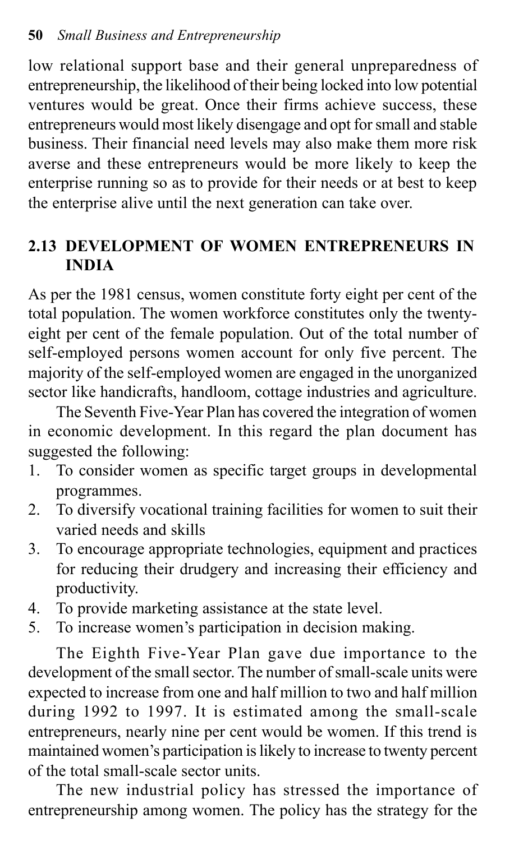low relational support base and their general unpreparedness of entrepreneurship, the likelihood of their being locked into low potential ventures would be great. Once their firms achieve success, these entrepreneurs would most likely disengage and opt for small and stable business. Their financial need levels may also make them more risk averse and these entrepreneurs would be more likely to keep the enterprise running so as to provide for their needs or at best to keep the enterprise alive until the next generation can take over.

## **2.13 DEVELOPMENT OF WOMEN ENTREPRENEURS IN INDIA**

As per the 1981 census, women constitute forty eight per cent of the total population. The women workforce constitutes only the twentyeight per cent of the female population. Out of the total number of self-employed persons women account for only five percent. The majority of the self-employed women are engaged in the unorganized sector like handicrafts, handloom, cottage industries and agriculture.

The Seventh Five-Year Plan has covered the integration of women in economic development. In this regard the plan document has suggested the following:

- 1. To consider women as specific target groups in developmental programmes.
- 2. To diversify vocational training facilities for women to suit their varied needs and skills
- 3. To encourage appropriate technologies, equipment and practices for reducing their drudgery and increasing their efficiency and productivity.
- 4. To provide marketing assistance at the state level.
- 5. To increase women's participation in decision making.

The Eighth Five-Year Plan gave due importance to the development of the small sector. The number of small-scale units were expected to increase from one and half million to two and half million during 1992 to 1997. It is estimated among the small-scale entrepreneurs, nearly nine per cent would be women. If this trend is maintained women's participation is likely to increase to twenty percent of the total small-scale sector units.

The new industrial policy has stressed the importance of entrepreneurship among women. The policy has the strategy for the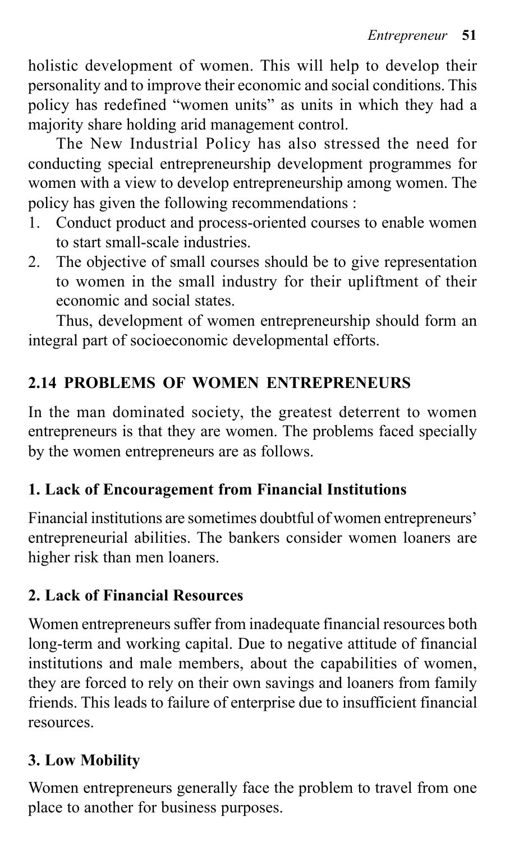holistic development of women. This will help to develop their personality and to improve their economic and social conditions. This policy has redefined "women units" as units in which they had a majority share holding arid management control.

The New Industrial Policy has also stressed the need for conducting special entrepreneurship development programmes for women with a view to develop entrepreneurship among women. The policy has given the following recommendations :

- 1. Conduct product and process-oriented courses to enable women to start small-scale industries.
- 2. The objective of small courses should be to give representation to women in the small industry for their upliftment of their economic and social states.

Thus, development of women entrepreneurship should form an integral part of socioeconomic developmental efforts.

## **2.14 PROBLEMS OF WOMEN ENTREPRENEURS**

In the man dominated society, the greatest deterrent to women entrepreneurs is that they are women. The problems faced specially by the women entrepreneurs are as follows.

#### **1. Lack of Encouragement from Financial Institutions**

Financial institutions are sometimes doubtful of women entrepreneurs' entrepreneurial abilities. The bankers consider women loaners are higher risk than men loaners.

#### **2. Lack of Financial Resources**

Women entrepreneurs suffer from inadequate financial resources both long-term and working capital. Due to negative attitude of financial institutions and male members, about the capabilities of women, they are forced to rely on their own savings and loaners from family friends. This leads to failure of enterprise due to insufficient financial resources.

#### **3. Low Mobility**

Women entrepreneurs generally face the problem to travel from one place to another for business purposes.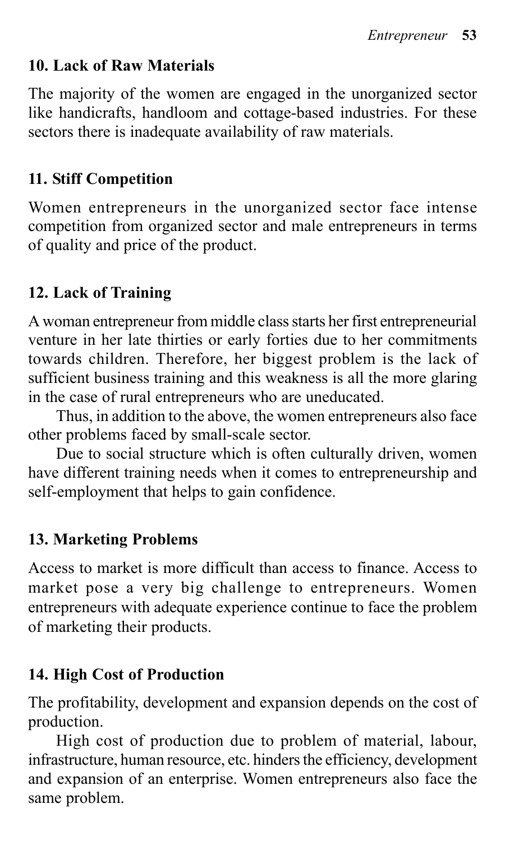#### **10. Lack of Raw Materials**

The majority of the women are engaged in the unorganized sector like handicrafts, handloom and cottage-based industries. For these sectors there is inadequate availability of raw materials.

#### **11. Stiff Competition**

Women entrepreneurs in the unorganized sector face intense competition from organized sector and male entrepreneurs in terms of quality and price of the product.

#### **12. Lack of Training**

A woman entrepreneur from middle class starts her first entrepreneurial venture in her late thirties or early forties due to her commitments towards children. Therefore, her biggest problem is the lack of sufficient business training and this weakness is all the more glaring in the case of rural entrepreneurs who are uneducated.

Thus, in addition to the above, the women entrepreneurs also face other problems faced by small-scale sector.

Due to social structure which is often culturally driven, women have different training needs when it comes to entrepreneurship and self-employment that helps to gain confidence.

#### **13. Marketing Problems**

Access to market is more difficult than access to finance. Access to market pose a very big challenge to entrepreneurs. Women entrepreneurs with adequate experience continue to face the problem of marketing their products.

#### **14. High Cost of Production**

The profitability, development and expansion depends on the cost of production.

High cost of production due to problem of material, labour, infrastructure, human resource, etc. hinders the efficiency, development and expansion of an enterprise. Women entrepreneurs also face the same problem.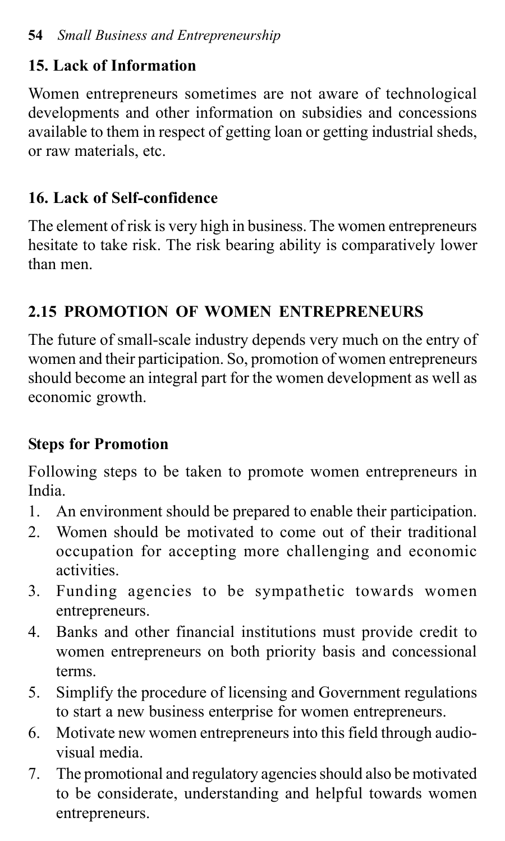## **15. Lack of Information**

Women entrepreneurs sometimes are not aware of technological developments and other information on subsidies and concessions available to them in respect of getting loan or getting industrial sheds, or raw materials, etc.

## **16. Lack of Self-confidence**

The element of risk is very high in business. The women entrepreneurs hesitate to take risk. The risk bearing ability is comparatively lower than men.

## **2.15 PROMOTION OF WOMEN ENTREPRENEURS**

The future of small-scale industry depends very much on the entry of women and their participation. So, promotion of women entrepreneurs should become an integral part for the women development as well as economic growth.

## **Steps for Promotion**

Following steps to be taken to promote women entrepreneurs in India.

- 1. An environment should be prepared to enable their participation.
- 2. Women should be motivated to come out of their traditional occupation for accepting more challenging and economic activities.
- 3. Funding agencies to be sympathetic towards women entrepreneurs.
- 4. Banks and other financial institutions must provide credit to women entrepreneurs on both priority basis and concessional terms.
- 5. Simplify the procedure of licensing and Government regulations to start a new business enterprise for women entrepreneurs.
- 6. Motivate new women entrepreneurs into this field through audiovisual media.
- 7. The promotional and regulatory agencies should also be motivated to be considerate, understanding and helpful towards women entrepreneurs.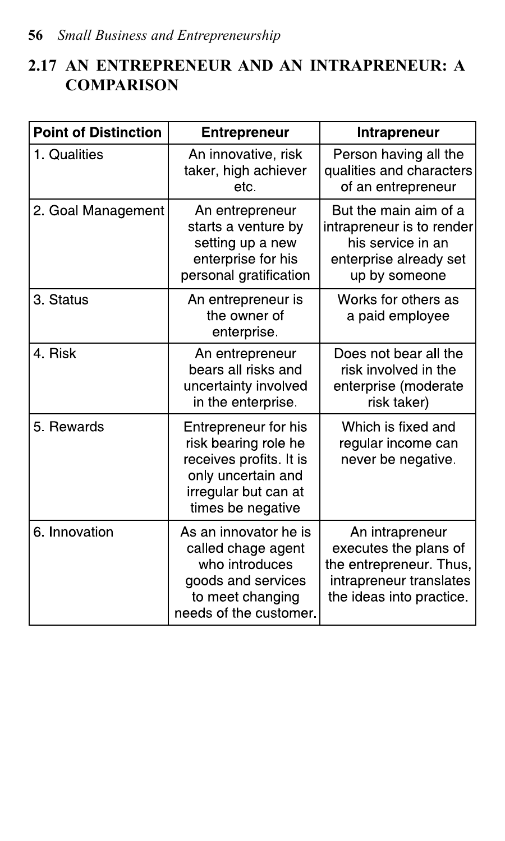## **2.17 AN ENTREPRENEUR AND AN INTRAPRENEUR: A COMPARISON**

| <b>Point of Distinction</b> | <b>Entrepreneur</b>                                                                                                                        | Intrapreneur                                                                                                               |
|-----------------------------|--------------------------------------------------------------------------------------------------------------------------------------------|----------------------------------------------------------------------------------------------------------------------------|
| 1. Qualities                | An innovative, risk<br>taker, high achiever<br>etc.                                                                                        | Person having all the<br>qualities and characters<br>of an entrepreneur                                                    |
| 2 Goal Management           | An entrepreneur<br>starts a venture by<br>setting up a new<br>enterprise for his<br>personal gratification                                 | But the main aim of a<br>intrapreneur is to render<br>his service in an<br>enterprise already set<br>up by someone         |
| 3. Status                   | An entrepreneur is<br>the owner of<br>enterprise.                                                                                          | Works for others as<br>a paid employee                                                                                     |
| 4. Risk                     | An entrepreneur<br>bears all risks and<br>uncertainty involved<br>in the enterprise.                                                       | Does not bear all the<br>risk involved in the<br>enterprise (moderate<br>risk taker)                                       |
| 5. Rewards                  | Entrepreneur for his<br>risk bearing role he<br>receives profits. It is<br>only uncertain and<br>irregular but can at<br>times be negative | Which is fixed and<br>regular income can<br>never be negative.                                                             |
| 6. Innovation               | As an innovator he is<br>called chage agent<br>who introduces<br>goods and services<br>to meet changing<br>needs of the customer.          | An intrapreneur<br>executes the plans of<br>the entrepreneur. Thus,<br>intrapreneur translates<br>the ideas into practice. |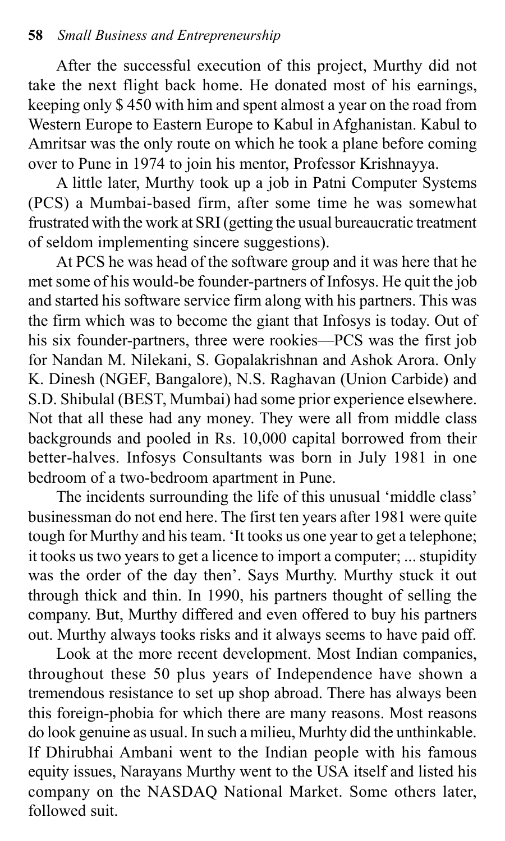After the successful execution of this project, Murthy did not take the next flight back home. He donated most of his earnings, keeping only \$ 450 with him and spent almost a year on the road from Western Europe to Eastern Europe to Kabul in Afghanistan. Kabul to Amritsar was the only route on which he took a plane before coming over to Pune in 1974 to join his mentor, Professor Krishnayya.

A little later, Murthy took up a job in Patni Computer Systems (PCS) a Mumbai-based firm, after some time he was somewhat frustrated with the work at SRI (getting the usual bureaucratic treatment of seldom implementing sincere suggestions).

At PCS he was head of the software group and it was here that he met some of his would-be founder-partners of Infosys. He quit the job and started his software service firm along with his partners. This was the firm which was to become the giant that Infosys is today. Out of his six founder-partners, three were rookies—PCS was the first job for Nandan M. Nilekani, S. Gopalakrishnan and Ashok Arora. Only K. Dinesh (NGEF, Bangalore), N.S. Raghavan (Union Carbide) and S.D. Shibulal (BEST, Mumbai) had some prior experience elsewhere. Not that all these had any money. They were all from middle class backgrounds and pooled in Rs. 10,000 capital borrowed from their better-halves. Infosys Consultants was born in July 1981 in one bedroom of a two-bedroom apartment in Pune.

The incidents surrounding the life of this unusual 'middle class' businessman do not end here. The first ten years after 1981 were quite tough for Murthy and his team. 'It tooks us one year to get a telephone; it tooks us two years to get a licence to import a computer; ... stupidity was the order of the day then'. Says Murthy. Murthy stuck it out through thick and thin. In 1990, his partners thought of selling the company. But, Murthy differed and even offered to buy his partners out. Murthy always tooks risks and it always seems to have paid off.

Look at the more recent development. Most Indian companies, throughout these 50 plus years of Independence have shown a tremendous resistance to set up shop abroad. There has always been this foreign-phobia for which there are many reasons. Most reasons do look genuine as usual. In such a milieu, Murhty did the unthinkable. If Dhirubhai Ambani went to the Indian people with his famous equity issues, Narayans Murthy went to the USA itself and listed his company on the NASDAQ National Market. Some others later, followed suit.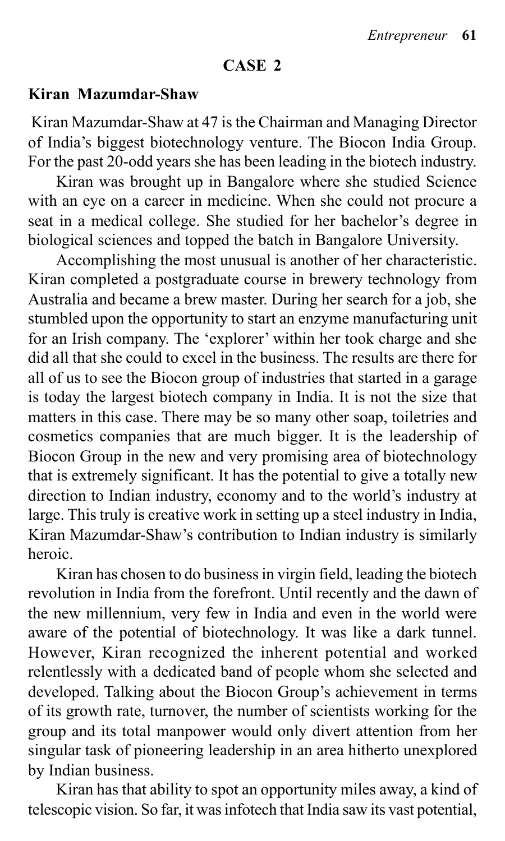#### **CASE 2**

#### **Kiran Mazumdar-Shaw**

 Kiran Mazumdar-Shaw at 47 is the Chairman and Managing Director of India's biggest biotechnology venture. The Biocon India Group. For the past 20-odd years she has been leading in the biotech industry.

Kiran was brought up in Bangalore where she studied Science with an eye on a career in medicine. When she could not procure a seat in a medical college. She studied for her bachelor's degree in biological sciences and topped the batch in Bangalore University.

Accomplishing the most unusual is another of her characteristic. Kiran completed a postgraduate course in brewery technology from Australia and became a brew master. During her search for a job, she stumbled upon the opportunity to start an enzyme manufacturing unit for an Irish company. The 'explorer' within her took charge and she did all that she could to excel in the business. The results are there for all of us to see the Biocon group of industries that started in a garage is today the largest biotech company in India. It is not the size that matters in this case. There may be so many other soap, toiletries and cosmetics companies that are much bigger. It is the leadership of Biocon Group in the new and very promising area of biotechnology that is extremely significant. It has the potential to give a totally new direction to Indian industry, economy and to the world's industry at large. This truly is creative work in setting up a steel industry in India, Kiran Mazumdar-Shaw's contribution to Indian industry is similarly heroic.

Kiran has chosen to do business in virgin field, leading the biotech revolution in India from the forefront. Until recently and the dawn of the new millennium, very few in India and even in the world were aware of the potential of biotechnology. It was like a dark tunnel. However, Kiran recognized the inherent potential and worked relentlessly with a dedicated band of people whom she selected and developed. Talking about the Biocon Group's achievement in terms of its growth rate, turnover, the number of scientists working for the group and its total manpower would only divert attention from her singular task of pioneering leadership in an area hitherto unexplored by Indian business.

Kiran has that ability to spot an opportunity miles away, a kind of telescopic vision. So far, it was infotech that India saw its vast potential,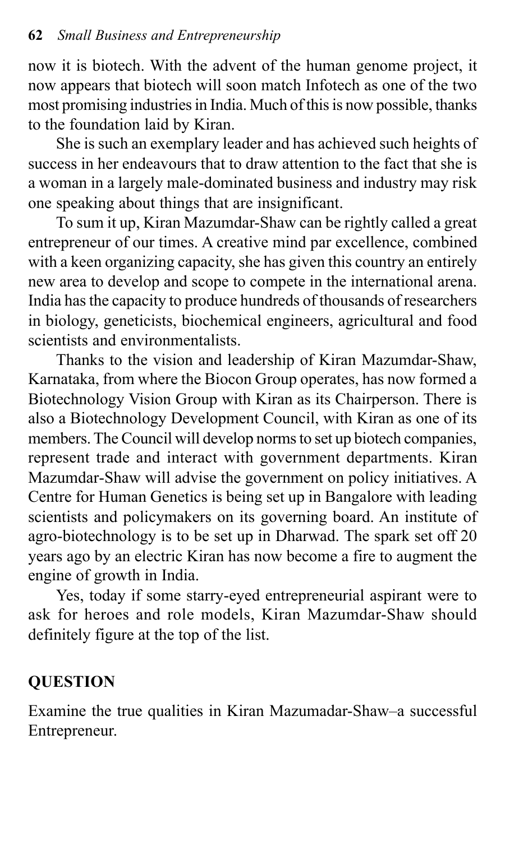now it is biotech. With the advent of the human genome project, it now appears that biotech will soon match Infotech as one of the two most promising industries in India. Much of this is now possible, thanks to the foundation laid by Kiran.

She is such an exemplary leader and has achieved such heights of success in her endeavours that to draw attention to the fact that she is a woman in a largely male-dominated business and industry may risk one speaking about things that are insignificant.

To sum it up, Kiran Mazumdar-Shaw can be rightly called a great entrepreneur of our times. A creative mind par excellence, combined with a keen organizing capacity, she has given this country an entirely new area to develop and scope to compete in the international arena. India has the capacity to produce hundreds of thousands of researchers in biology, geneticists, biochemical engineers, agricultural and food scientists and environmentalists.

Thanks to the vision and leadership of Kiran Mazumdar-Shaw, Karnataka, from where the Biocon Group operates, has now formed a Biotechnology Vision Group with Kiran as its Chairperson. There is also a Biotechnology Development Council, with Kiran as one of its members. The Council will develop norms to set up biotech companies, represent trade and interact with government departments. Kiran Mazumdar-Shaw will advise the government on policy initiatives. A Centre for Human Genetics is being set up in Bangalore with leading scientists and policymakers on its governing board. An institute of agro-biotechnology is to be set up in Dharwad. The spark set off 20 years ago by an electric Kiran has now become a fire to augment the engine of growth in India.

Yes, today if some starry-eyed entrepreneurial aspirant were to ask for heroes and role models, Kiran Mazumdar-Shaw should definitely figure at the top of the list.

## **QUESTION**

Examine the true qualities in Kiran Mazumadar-Shaw–a successful Entrepreneur.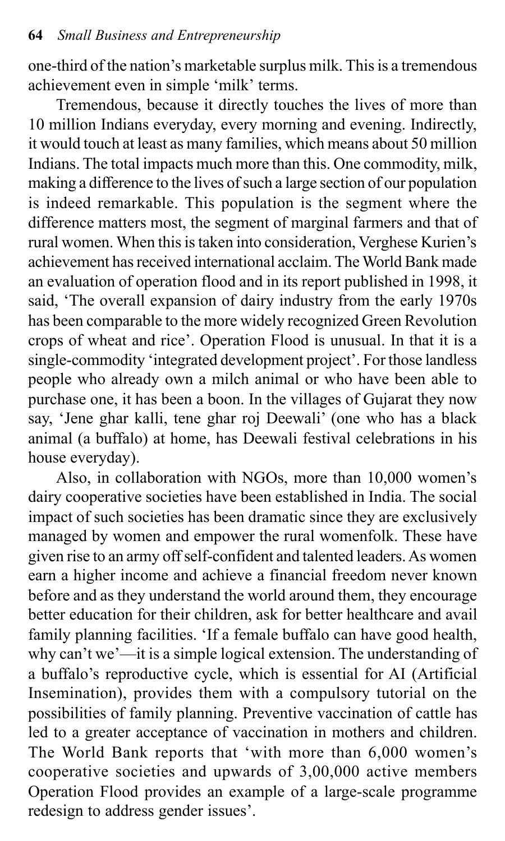one-third of the nation's marketable surplus milk. This is a tremendous achievement even in simple 'milk' terms.

Tremendous, because it directly touches the lives of more than 10 million Indians everyday, every morning and evening. Indirectly, it would touch at least as many families, which means about 50 million Indians. The total impacts much more than this. One commodity, milk, making a difference to the lives of such a large section of our population is indeed remarkable. This population is the segment where the difference matters most, the segment of marginal farmers and that of rural women. When this is taken into consideration, Verghese Kurien's achievement has received international acclaim. The World Bank made an evaluation of operation flood and in its report published in 1998, it said, 'The overall expansion of dairy industry from the early 1970s has been comparable to the more widely recognized Green Revolution crops of wheat and rice'. Operation Flood is unusual. In that it is a single-commodity 'integrated development project'. For those landless people who already own a milch animal or who have been able to purchase one, it has been a boon. In the villages of Gujarat they now say, 'Jene ghar kalli, tene ghar roj Deewali' (one who has a black animal (a buffalo) at home, has Deewali festival celebrations in his house everyday).

Also, in collaboration with NGOs, more than 10,000 women's dairy cooperative societies have been established in India. The social impact of such societies has been dramatic since they are exclusively managed by women and empower the rural womenfolk. These have given rise to an army off self-confident and talented leaders. As women earn a higher income and achieve a financial freedom never known before and as they understand the world around them, they encourage better education for their children, ask for better healthcare and avail family planning facilities. 'If a female buffalo can have good health, why can't we'—it is a simple logical extension. The understanding of a buffalo's reproductive cycle, which is essential for AI (Artificial Insemination), provides them with a compulsory tutorial on the possibilities of family planning. Preventive vaccination of cattle has led to a greater acceptance of vaccination in mothers and children. The World Bank reports that 'with more than 6,000 women's cooperative societies and upwards of 3,00,000 active members Operation Flood provides an example of a large-scale programme redesign to address gender issues'.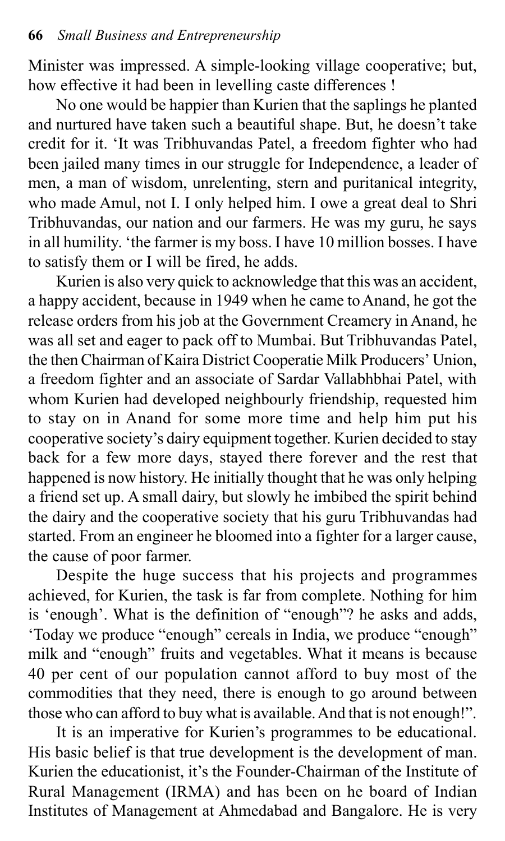Minister was impressed. A simple-looking village cooperative; but, how effective it had been in levelling caste differences !

No one would be happier than Kurien that the saplings he planted and nurtured have taken such a beautiful shape. But, he doesn't take credit for it. 'It was Tribhuvandas Patel, a freedom fighter who had been jailed many times in our struggle for Independence, a leader of men, a man of wisdom, unrelenting, stern and puritanical integrity, who made Amul, not I. I only helped him. I owe a great deal to Shri Tribhuvandas, our nation and our farmers. He was my guru, he says in all humility. 'the farmer is my boss. I have 10 million bosses. I have to satisfy them or I will be fired, he adds.

Kurien is also very quick to acknowledge that this was an accident, a happy accident, because in 1949 when he came to Anand, he got the release orders from his job at the Government Creamery in Anand, he was all set and eager to pack off to Mumbai. But Tribhuvandas Patel, the then Chairman of Kaira District Cooperatie Milk Producers' Union, a freedom fighter and an associate of Sardar Vallabhbhai Patel, with whom Kurien had developed neighbourly friendship, requested him to stay on in Anand for some more time and help him put his cooperative society's dairy equipment together. Kurien decided to stay back for a few more days, stayed there forever and the rest that happened is now history. He initially thought that he was only helping a friend set up. A small dairy, but slowly he imbibed the spirit behind the dairy and the cooperative society that his guru Tribhuvandas had started. From an engineer he bloomed into a fighter for a larger cause, the cause of poor farmer.

Despite the huge success that his projects and programmes achieved, for Kurien, the task is far from complete. Nothing for him is 'enough'. What is the definition of "enough"? he asks and adds, 'Today we produce "enough" cereals in India, we produce "enough" milk and "enough" fruits and vegetables. What it means is because 40 per cent of our population cannot afford to buy most of the commodities that they need, there is enough to go around between those who can afford to buy what is available. And that is not enough!".

It is an imperative for Kurien's programmes to be educational. His basic belief is that true development is the development of man. Kurien the educationist, it's the Founder-Chairman of the Institute of Rural Management (IRMA) and has been on he board of Indian Institutes of Management at Ahmedabad and Bangalore. He is very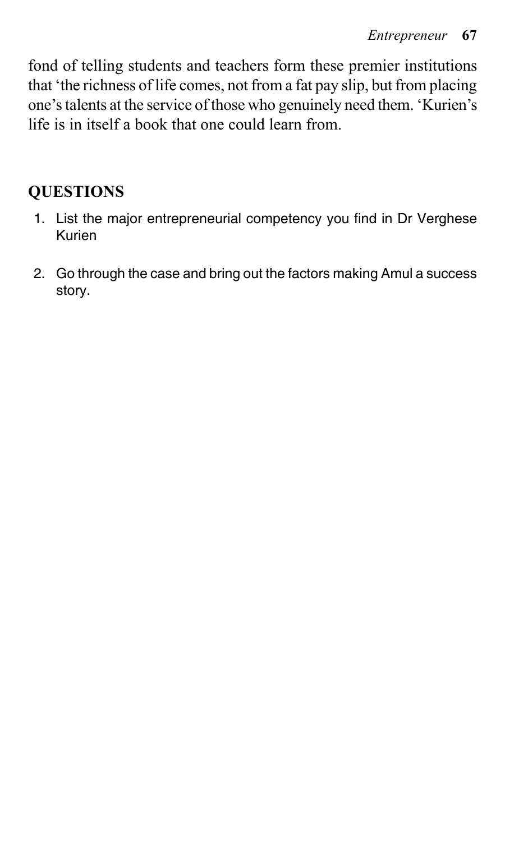fond of telling students and teachers form these premier institutions that 'the richness of life comes, not from a fat pay slip, but from placing one's talents at the service of those who genuinely need them. 'Kurien's life is in itself a book that one could learn from.

#### **QUESTIONS**

- 1. List the major entrepreneurial competency you find in Dr Verghese Kurien
- 2. Go through the case and bring out the factors making Amul a success story.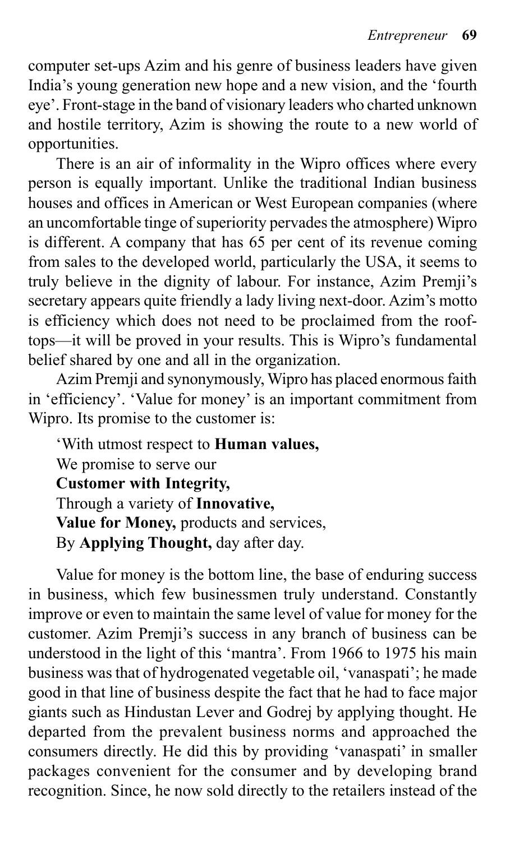computer set-ups Azim and his genre of business leaders have given India's young generation new hope and a new vision, and the 'fourth eye'. Front-stage in the band of visionary leaders who charted unknown and hostile territory, Azim is showing the route to a new world of opportunities.

There is an air of informality in the Wipro offices where every person is equally important. Unlike the traditional Indian business houses and offices in American or West European companies (where an uncomfortable tinge of superiority pervades the atmosphere) Wipro is different. A company that has 65 per cent of its revenue coming from sales to the developed world, particularly the USA, it seems to truly believe in the dignity of labour. For instance, Azim Premji's secretary appears quite friendly a lady living next-door. Azim's motto is efficiency which does not need to be proclaimed from the rooftops—it will be proved in your results. This is Wipro's fundamental belief shared by one and all in the organization.

Azim Premji and synonymously, Wipro has placed enormous faith in 'efficiency'. 'Value for money' is an important commitment from Wipro. Its promise to the customer is:

'With utmost respect to **Human values,** We promise to serve our **Customer with Integrity,** Through a variety of **Innovative, Value for Money,** products and services, By **Applying Thought,** day after day.

Value for money is the bottom line, the base of enduring success in business, which few businessmen truly understand. Constantly improve or even to maintain the same level of value for money for the customer. Azim Premji's success in any branch of business can be understood in the light of this 'mantra'. From 1966 to 1975 his main business was that of hydrogenated vegetable oil, 'vanaspati'; he made good in that line of business despite the fact that he had to face major giants such as Hindustan Lever and Godrej by applying thought. He departed from the prevalent business norms and approached the consumers directly. He did this by providing 'vanaspati' in smaller packages convenient for the consumer and by developing brand recognition. Since, he now sold directly to the retailers instead of the